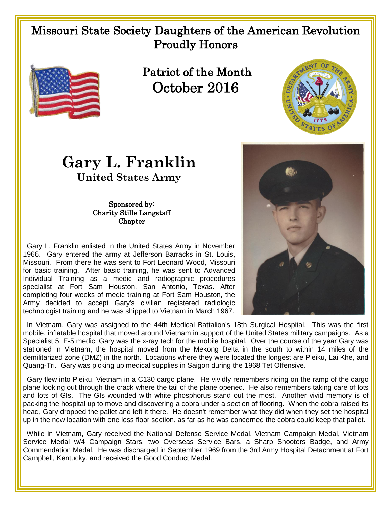## Missouri State Society Daughters of the American Revolution Proudly Honors



 Patriot of the Month October 2016



## **Gary L. Franklin United States Army**

## Sponsored by: Charity Stille Langstaff **Chapter**

 Gary L. Franklin enlisted in the United States Army in November 1966. Gary entered the army at Jefferson Barracks in St. Louis, Missouri. From there he was sent to Fort Leonard Wood, Missouri for basic training. After basic training, he was sent to Advanced Individual Training as a medic and radiographic procedures specialist at Fort Sam Houston, San Antonio, Texas. After completing four weeks of medic training at Fort Sam Houston, the Army decided to accept Gary's civilian registered radiologic technologist training and he was shipped to Vietnam in March 1967.



 In Vietnam, Gary was assigned to the 44th Medical Battalion's 18th Surgical Hospital. This was the first mobile, inflatable hospital that moved around Vietnam in support of the United States military campaigns. As a Specialist 5, E-5 medic, Gary was the x-ray tech for the mobile hospital. Over the course of the year Gary was stationed in Vietnam, the hospital moved from the Mekong Delta in the south to within 14 miles of the demilitarized zone (DMZ) in the north. Locations where they were located the longest are Pleiku, Lai Khe, and Quang-Tri. Gary was picking up medical supplies in Saigon during the 1968 Tet Offensive.

 Gary flew into Pleiku, Vietnam in a C130 cargo plane. He vividly remembers riding on the ramp of the cargo plane looking out through the crack where the tail of the plane opened. He also remembers taking care of lots and lots of GIs. The GIs wounded with white phosphorus stand out the most. Another vivid memory is of packing the hospital up to move and discovering a cobra under a section of flooring. When the cobra raised its head, Gary dropped the pallet and left it there. He doesn't remember what they did when they set the hospital up in the new location with one less floor section, as far as he was concerned the cobra could keep that pallet.

While in Vietnam, Gary received the National Defense Service Medal, Vietnam Campaign Medal, Vietnam Service Medal w/4 Campaign Stars, two Overseas Service Bars, a Sharp Shooters Badge, and Army Commendation Medal. He was discharged in September 1969 from the 3rd Army Hospital Detachment at Fort Campbell, Kentucky, and received the Good Conduct Medal.